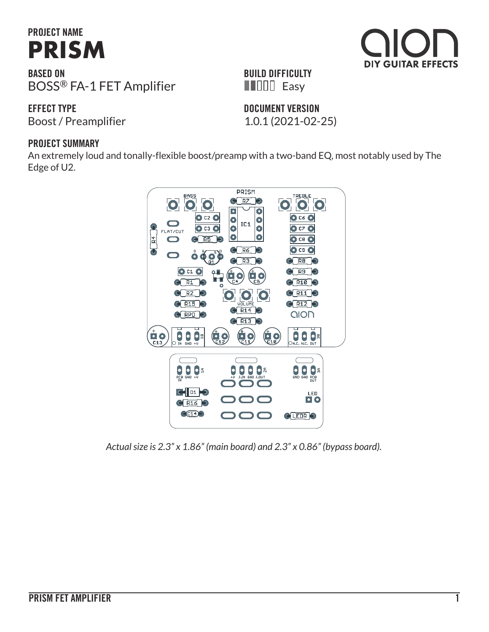# **PROJECT NAME [PRISM](https://aionfx.com/project/prism-fet-amplifier/)**

**BASED ON** BOSS® FA-1 FET Amplifier

**EFFECT TYPE**

Boost / Preamplifier 1.0.1 (2021-02-25)

**DOCUMENT VERSION**

**BUILD DIFFICULTY Easy** 

#### **PROJECT SUMMARY**

An extremely loud and tonally-flexible boost/preamp with a two-band EQ, most notably used by The Edge of U2.



*Actual size is 2.3" x 1.86" (main board) and 2.3" x 0.86" (bypass board).*

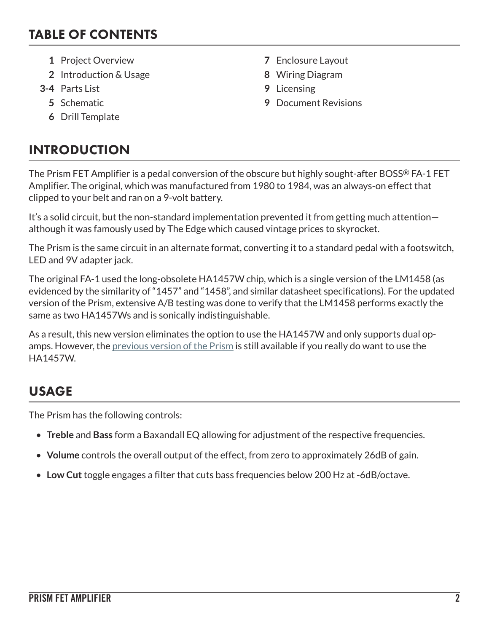#### TABLE OF CONTENTS

- **1** Project Overview **7** Enclosure Layout
- **2** Introduction & Usage **8** Wiring Diagram
- **3-4** Parts List **9** Licensing
	-
	- **6** Drill Template

### INTRODUCTION

- 
- 
- 
- **5** Schematic **9** Document Revisions

The Prism FET Amplifier is a pedal conversion of the obscure but highly sought-after BOSS® FA-1 FET Amplifier. The original, which was manufactured from 1980 to 1984, was an always-on effect that clipped to your belt and ran on a 9-volt battery.

It's a solid circuit, but the non-standard implementation prevented it from getting much attention although it was famously used by The Edge which caused vintage prices to skyrocket.

The Prism is the same circuit in an alternate format, converting it to a standard pedal with a footswitch, LED and 9V adapter jack.

The original FA-1 used the long-obsolete HA1457W chip, which is a single version of the LM1458 (as evidenced by the similarity of "1457" and "1458", and similar datasheet specifications). For the updated version of the Prism, extensive A/B testing was done to verify that the LM1458 performs exactly the same as two HA1457Ws and is sonically indistinguishable.

As a result, this new version eliminates the option to use the HA1457W and only supports dual opamps. However, the [previous version of the Prism](https://aionfx.com/project/prism-legacy/) is still available if you really do want to use the HA1457W.

## USAGE

The Prism has the following controls:

- **Treble** and **Bass** form a Baxandall EQ allowing for adjustment of the respective frequencies.
- **Volume** controls the overall output of the effect, from zero to approximately 26dB of gain.
- **Low Cut** toggle engages a filter that cuts bass frequencies below 200 Hz at -6dB/octave.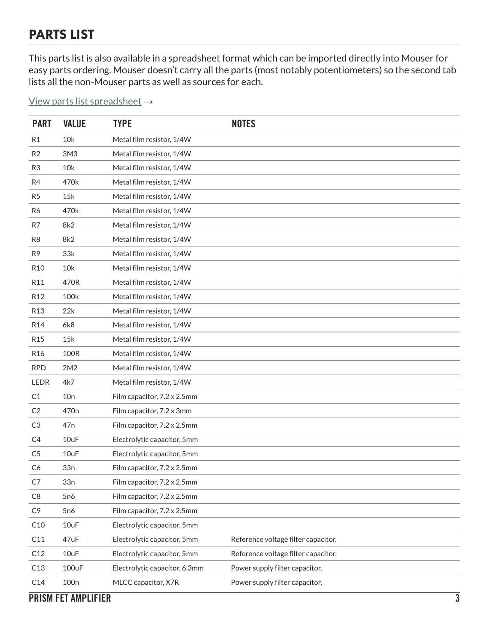#### PARTS LIST

This parts list is also available in a spreadsheet format which can be imported directly into Mouser for easy parts ordering. Mouser doesn't carry all the parts (most notably potentiometers) so the second tab lists all the non-Mouser parts as well as sources for each.

#### [View parts list spreadsheet](https://docs.google.com/spreadsheets/d/19avuDs5L7U_NyP1n68ATCg7kcSZ2oTgAeo-ikIxuKXs/edit?usp=sharing) →

| <b>PART</b>     | <b>VALUE</b>     | <b>TYPE</b>                   | <b>NOTES</b>                        |
|-----------------|------------------|-------------------------------|-------------------------------------|
| R <sub>1</sub>  | 10k              | Metal film resistor, 1/4W     |                                     |
| R <sub>2</sub>  | 3M3              | Metal film resistor, 1/4W     |                                     |
| R <sub>3</sub>  | 10k              | Metal film resistor, 1/4W     |                                     |
| R4              | 470k             | Metal film resistor, 1/4W     |                                     |
| R <sub>5</sub>  | 15k              | Metal film resistor, 1/4W     |                                     |
| R6              | 470k             | Metal film resistor, 1/4W     |                                     |
| R7              | 8k2              | Metal film resistor, 1/4W     |                                     |
| R <sub>8</sub>  | 8k2              | Metal film resistor, 1/4W     |                                     |
| R <sub>9</sub>  | 33k              | Metal film resistor, 1/4W     |                                     |
| R <sub>10</sub> | 10k              | Metal film resistor, 1/4W     |                                     |
| R11             | 470R             | Metal film resistor, 1/4W     |                                     |
| R <sub>12</sub> | 100k             | Metal film resistor, 1/4W     |                                     |
| R <sub>13</sub> | 22k              | Metal film resistor, 1/4W     |                                     |
| R <sub>14</sub> | 6k8              | Metal film resistor, 1/4W     |                                     |
| R <sub>15</sub> | 15k              | Metal film resistor, 1/4W     |                                     |
| R <sub>16</sub> | 100R             | Metal film resistor, 1/4W     |                                     |
| <b>RPD</b>      | 2M2              | Metal film resistor, 1/4W     |                                     |
| LEDR            | 4k7              | Metal film resistor, 1/4W     |                                     |
| C <sub>1</sub>  | 10n              | Film capacitor, 7.2 x 2.5mm   |                                     |
| C <sub>2</sub>  | 470 <sub>n</sub> | Film capacitor, 7.2 x 3mm     |                                     |
| C <sub>3</sub>  | 47 <sub>n</sub>  | Film capacitor, 7.2 x 2.5mm   |                                     |
| C4              | 10uF             | Electrolytic capacitor, 5mm   |                                     |
| C <sub>5</sub>  | 10uF             | Electrolytic capacitor, 5mm   |                                     |
| C <sub>6</sub>  | 33n              | Film capacitor, 7.2 x 2.5mm   |                                     |
| C7              | 33n              | Film capacitor, 7.2 x 2.5mm   |                                     |
| C8              | 5 <sub>n</sub> 6 | Film capacitor, 7.2 x 2.5mm   |                                     |
| C <sub>9</sub>  | 5n6              | Film capacitor, 7.2 x 2.5mm   |                                     |
| C10             | 10uF             | Electrolytic capacitor, 5mm   |                                     |
| C11             | 47uF             | Electrolytic capacitor, 5mm   | Reference voltage filter capacitor. |
| C12             | 10uF             | Electrolytic capacitor, 5mm   | Reference voltage filter capacitor. |
| C13             | 100uF            | Electrolytic capacitor, 6.3mm | Power supply filter capacitor.      |
| C14             | 100 <sub>n</sub> | MLCC capacitor, X7R           | Power supply filter capacitor.      |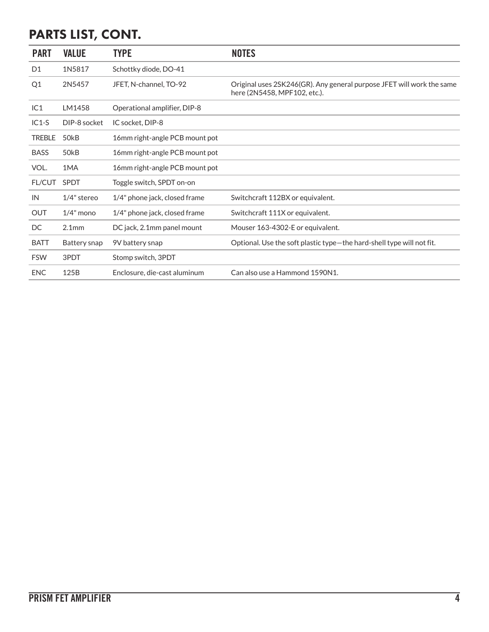### PARTS LIST, CONT.

| <b>PART</b>    | <b>VALUE</b>      | <b>TYPE</b>                     | <b>NOTES</b>                                                                                          |
|----------------|-------------------|---------------------------------|-------------------------------------------------------------------------------------------------------|
| D <sub>1</sub> | 1N5817            | Schottky diode, DO-41           |                                                                                                       |
| Q <sub>1</sub> | 2N5457            | JFET, N-channel, TO-92          | Original uses 2SK246(GR). Any general purpose JFET will work the same<br>here (2N5458, MPF102, etc.). |
| IC1            | LM1458            | Operational amplifier, DIP-8    |                                                                                                       |
| $IC1-S$        | DIP-8 socket      | IC socket, DIP-8                |                                                                                                       |
| <b>TREBLE</b>  | 50 <sub>k</sub> B | 16mm right-angle PCB mount pot  |                                                                                                       |
| <b>BASS</b>    | 50 <sub>k</sub> B | 16mm right-angle PCB mount pot  |                                                                                                       |
| VOL.           | 1MA               | 16 mm right-angle PCB mount pot |                                                                                                       |
| <b>FL/CUT</b>  | <b>SPDT</b>       | Toggle switch, SPDT on-on       |                                                                                                       |
| IN             | $1/4$ " stereo    | 1/4" phone jack, closed frame   | Switchcraft 112BX or equivalent.                                                                      |
| <b>OUT</b>     | $1/4$ " mono      | 1/4" phone jack, closed frame   | Switchcraft 111X or equivalent.                                                                       |
| DC             | 2.1 <sub>mm</sub> | DC jack, 2.1mm panel mount      | Mouser 163-4302-E or equivalent.                                                                      |
| <b>BATT</b>    | Battery snap      | 9V battery snap                 | Optional. Use the soft plastic type-the hard-shell type will not fit.                                 |
| <b>FSW</b>     | 3PDT              | Stomp switch, 3PDT              |                                                                                                       |
| <b>ENC</b>     | 125B              | Enclosure, die-cast aluminum    | Can also use a Hammond 1590N1.                                                                        |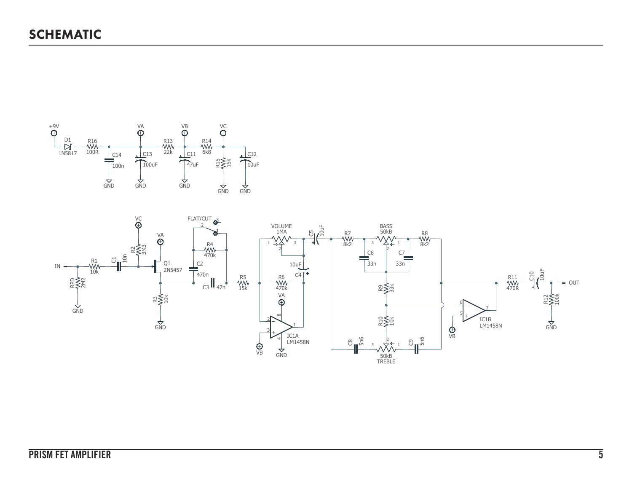

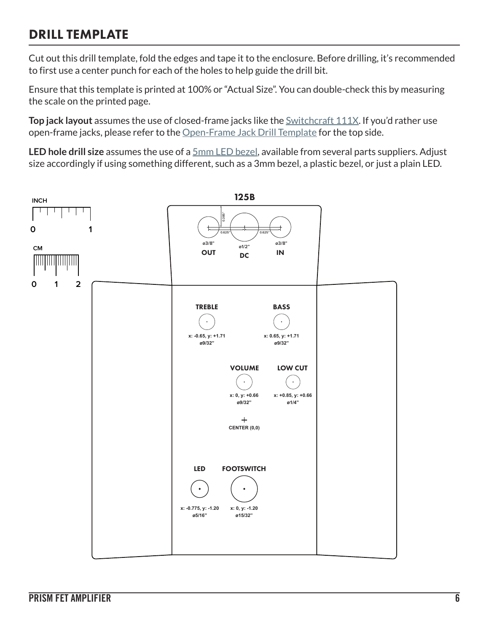#### DRILL TEMPLATE

Cut out this drill template, fold the edges and tape it to the enclosure. Before drilling, it's recommended to first use a center punch for each of the holes to help guide the drill bit.

Ensure that this template is printed at 100% or "Actual Size". You can double-check this by measuring the scale on the printed page.

**Top jack layout** assumes the use of closed-frame jacks like the **Switchcraft 111X**. If you'd rather use open-frame jacks, please refer to the [Open-Frame Jack Drill Template](https://aionfx.com/link/open-frame-drill-template/) for the top side.

**LED hole drill size** assumes the use of a [5mm LED bezel,](https://aionfx.com/link/chrome-bezel-for-5mm-led/) available from several parts suppliers. Adjust size accordingly if using something different, such as a 3mm bezel, a plastic bezel, or just a plain LED.

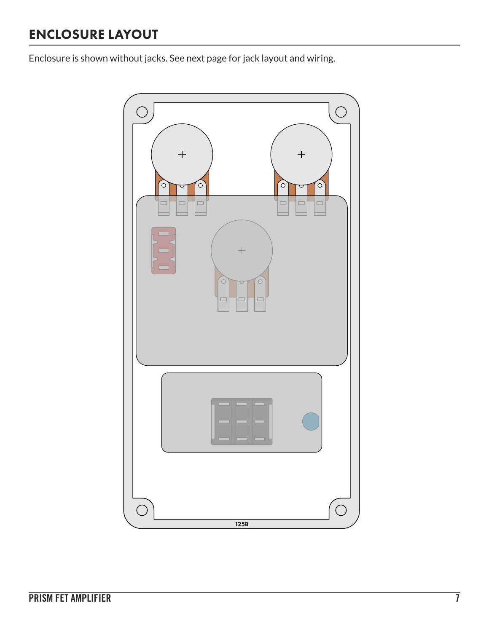### ENCLOSURE LAYOUT

Enclosure is shown without jacks. See next page for jack layout and wiring.

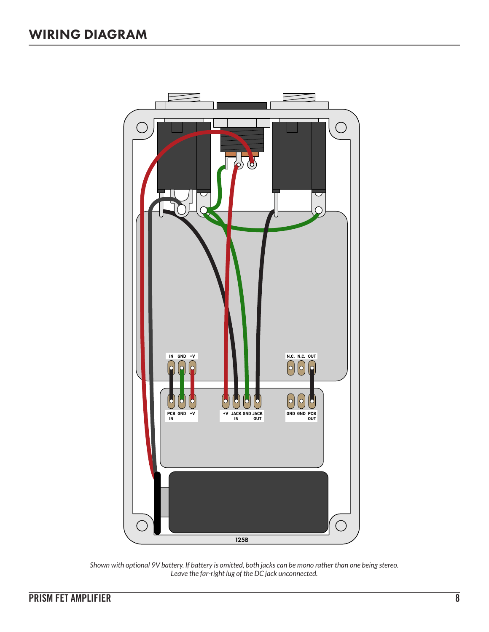

*Shown with optional 9V battery. If battery is omitted, both jacks can be mono rather than one being stereo. Leave the far-right lug of the DC jack unconnected.*